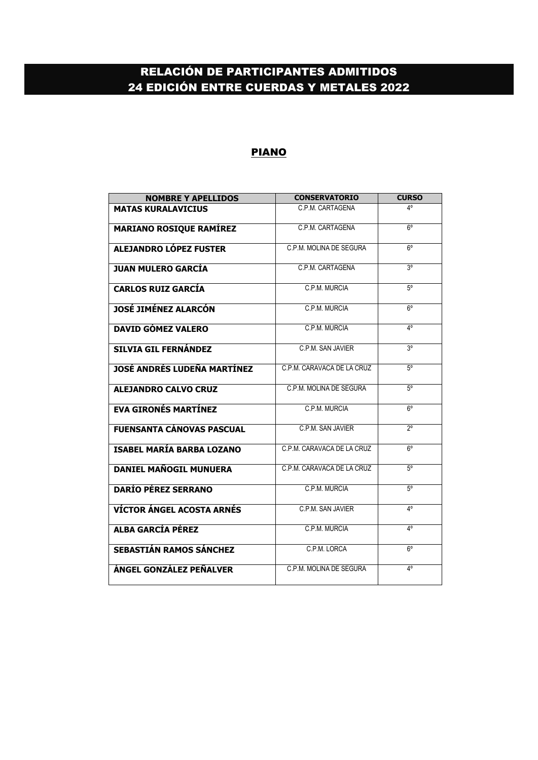# RELACIÓN DE PARTICIPANTES ADMITIDOS 24 EDICIÓN ENTRE CUERDAS Y METALES 2022

#### PIANO

| <b>NOMBRE Y APELLIDOS</b>        | <b>CONSERVATORIO</b>       | <b>CURSO</b>   |
|----------------------------------|----------------------------|----------------|
| <b>MATAS KURALAVICIUS</b>        | C.P.M. CARTAGENA           | Δ٥             |
| <b>MARIANO ROSIQUE RAMÍREZ</b>   | C.P.M. CARTAGENA           | $6^{\circ}$    |
| ALEJANDRO LÓPEZ FUSTER           | C P M MOLINA DE SEGURA     | ĥ٥             |
| <b>JUAN MULERO GARCÍA</b>        | C P M CARTAGENA            | 3 <sup>o</sup> |
| <b>CARLOS RUIZ GARCÍA</b>        | C.P.M. MURCIA              | $5^{\circ}$    |
| <b>JOSÉ JIMÉNEZ ALARCÓN</b>      | C.P.M. MURCIA              | $6^{\circ}$    |
| <b>DAVID GÓMEZ VALERO</b>        | C.P.M. MURCIA              | 4°             |
| <b>SILVIA GIL FERNÁNDEZ</b>      | C P M SAN JAVIER           | 3 <sup>o</sup> |
| JOSÉ ANDRÉS LUDEÑA MARTÍNEZ      | C P M CARAVACA DE LA CRUZ  | $5^{\circ}$    |
| <b>ALEJANDRO CALVO CRUZ</b>      | C.P.M. MOLINA DE SEGURA    | 50             |
| <b>EVA GIRONÉS MARTÍNEZ</b>      | C.P.M. MURCIA              | $6^{\circ}$    |
| <b>FUENSANTA CÁNOVAS PASCUAL</b> | C.P.M. SAN JAVIER          | 20             |
| <b>ISABEL MARÍA BARBA LOZANO</b> | C P M CARAVACA DE LA CRUZ  | 6°             |
| <b>DANIEL MAÑOGIL MUNUERA</b>    | C.P.M. CARAVACA DE LA CRUZ | $5^{\circ}$    |
| <b>DARÍO PÉREZ SERRANO</b>       | C.P.M. MURCIA              | $5^\circ$      |
| VÍCTOR ÁNGEL ACOSTA ARNÉS        | C.P.M. SAN JAVIER          | 4°             |
| <b>ALBA GARCÍA PÉREZ</b>         | C.P.M. MURCIA              | 4°             |
| SEBASTIÁN RAMOS SÁNCHEZ          | C.P.M. LORCA               | ĥ٥             |
| ÁNGEL GONZÁLEZ PEÑALVER          | C.P.M. MOLINA DE SEGURA    | 4°             |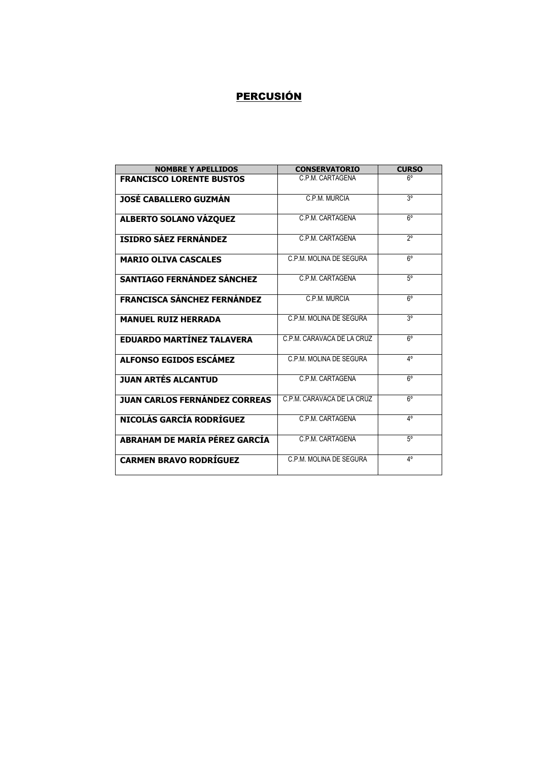### **PERCUSIÓN**

| <b>NOMBRE Y APELLIDOS</b>            | <b>CONSERVATORIO</b>       | <b>CURSO</b>              |
|--------------------------------------|----------------------------|---------------------------|
| <b>FRANCISCO LORENTE BUSTOS</b>      | C.P.M. CARTAGENA           | 6°                        |
| <b>JOSÉ CABALLERO GUZMÁN</b>         | C P M MURCIA               | 3 <sup>o</sup>            |
| <b>ALBERTO SOLANO VÁZQUEZ</b>        | C.P.M. CARTAGENA           | 6°                        |
| <b>ISIDRO SÁEZ FERNÁNDEZ</b>         | C P M CARTAGENA            | $\overline{2^0}$          |
| <b>MARIO OLIVA CASCALES</b>          | C.P.M. MOLINA DE SEGURA    | $6^{\circ}$               |
| <b>SANTIAGO FERNÁNDEZ SÁNCHEZ</b>    | C P M CARTAGENA            | $5^{\circ}$               |
| <b>FRANCISCA SÁNCHEZ FERNÁNDEZ</b>   | C.P.M. MURCIA              | $6^{\circ}$               |
| <b>MANUEL RUIZ HERRADA</b>           | C P M MOLINA DE SEGURA     | 3 <sup>o</sup>            |
| <b>EDUARDO MARTÍNEZ TALAVERA</b>     | C.P.M. CARAVACA DE LA CRUZ | $6^{\circ}$               |
| <b>ALFONSO EGIDOS ESCÁMEZ</b>        | C.P.M. MOLINA DE SEGURA    | 4°                        |
| <b>JUAN ARTÉS ALCANTUD</b>           | C.P.M. CARTAGENA           | $6^{\circ}$               |
| <b>JUAN CARLOS FERNÁNDEZ CORREAS</b> | C.P.M. CARAVACA DE LA CRUZ | ĥ٥                        |
| NICOLÁS GARCÍA RODRÍGUEZ             | C P M CARTAGENA            | $\mathbf{A}^{\mathsf{o}}$ |
| ABRAHAM DE MARÍA PÉREZ GARCÍA        | C.P.M. CARTAGENA           | $5^{\circ}$               |
| <b>CARMEN BRAVO RODRÍGUEZ</b>        | C P M MOLINA DE SEGURA     | 40                        |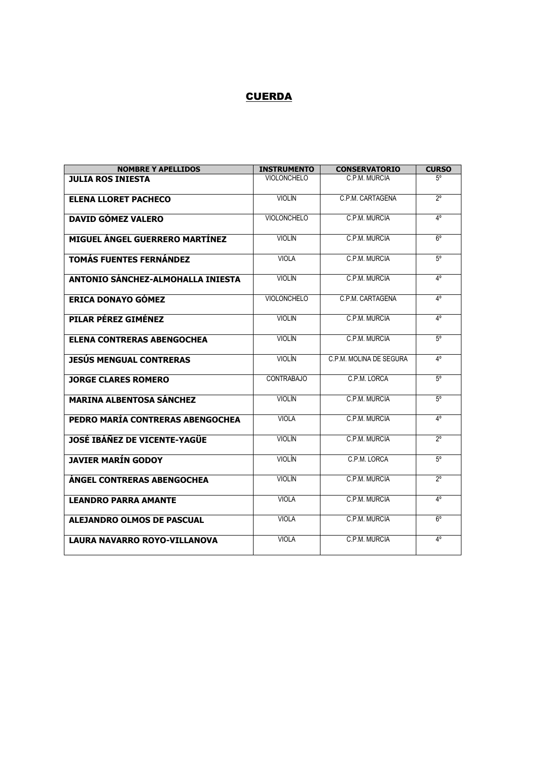### **CUERDA**

| <b>NOMBRE Y APELLIDOS</b>             | <b>INSTRUMENTO</b> | <b>CONSERVATORIO</b>    | <b>CURSO</b> |
|---------------------------------------|--------------------|-------------------------|--------------|
| <b>JULIA ROS INIESTA</b>              | <b>VIOLONCHELO</b> | C P M MURCIA            | $5^\circ$    |
| <b>ELENA LLORET PACHECO</b>           | <b>VIOLÍN</b>      | C.P.M. CARTAGENA        | $2^{\circ}$  |
| <b>DAVID GÓMEZ VALERO</b>             | <b>VIOLONCHELO</b> | C.P.M. MURCIA           | $4^{\circ}$  |
| <b>MIGUEL ÁNGEL GUERRERO MARTÍNEZ</b> | <b>VIOLÍN</b>      | C.P.M. MURCIA           | $6^{\circ}$  |
| <b>TOMÁS FUENTES FERNÁNDEZ</b>        | <b>VIOLA</b>       | C.P.M. MURCIA           | $5^{\circ}$  |
| ANTONIO SÁNCHEZ-ALMOHALLA INIESTA     | <b>VIOLÍN</b>      | C.P.M. MURCIA           | $4^{\circ}$  |
| ERICA DONAYO GÓMEZ                    | <b>VIOLONCHELO</b> | C.P.M. CARTAGENA        | 4°           |
| PILAR PÉREZ GIMÉNEZ                   | <b>VIOLIN</b>      | C.P.M. MURCIA           | 4°           |
| <b>ELENA CONTRERAS ABENGOCHEA</b>     | <b>VIOLÍN</b>      | C.P.M. MURCIA           | $5^{\circ}$  |
| <b>JESÚS MENGUAL CONTRERAS</b>        | <b>VIOLÍN</b>      | C.P.M. MOLINA DE SEGURA | 4°           |
| <b>JORGE CLARES ROMERO</b>            | <b>CONTRABAJO</b>  | C.P.M. LORCA            | $5^{\circ}$  |
| <b>MARINA ALBENTOSA SÁNCHEZ</b>       | <b>VIOLÍN</b>      | C.P.M. MURCIA           | $5^\circ$    |
| PEDRO MARÍA CONTRERAS ABENGOCHEA      | <b>VIOLA</b>       | C.P.M. MURCIA           | 4°           |
| <b>JOSÉ IBÁÑEZ DE VICENTE-YAGÜE</b>   | VIOI ÍN            | C P M MURCIA            | 20           |
| <b>JAVIER MARÍN GODOY</b>             | VIOLÍN             | C.P.M. LORCA            | $5^{\circ}$  |
| <b>ÁNGEL CONTRERAS ABENGOCHEA</b>     | VIOI ÍN            | C P M MURCIA            | $2^{\circ}$  |
| <b>LEANDRO PARRA AMANTE</b>           | <b>VIOLA</b>       | C.P.M. MURCIA           | 4°           |
| <b>ALEJANDRO OLMOS DE PASCUAL</b>     | <b>VIOLA</b>       | C.P.M. MURCIA           | 6°           |
| <b>LAURA NAVARRO ROYO-VILLANOVA</b>   | <b>VIOLA</b>       | C.P.M. MURCIA           | 4°           |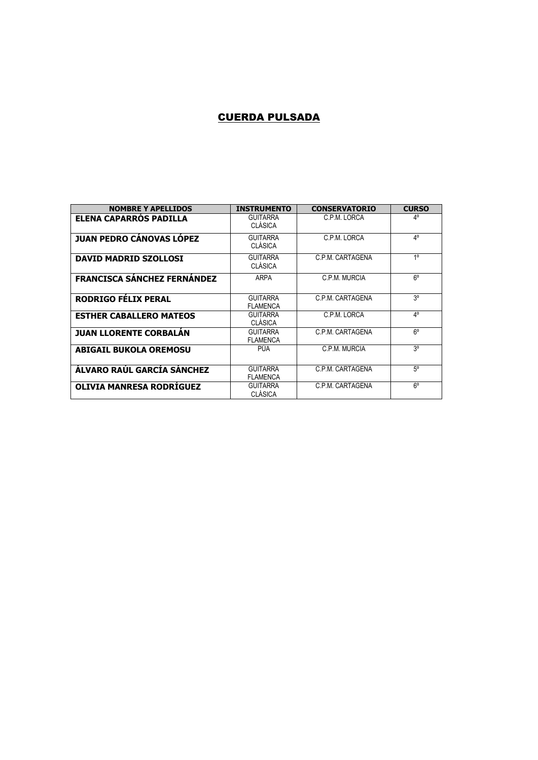#### CUERDA PULSADA

| <b>NOMBRE Y APELLIDOS</b>          | <b>INSTRUMENTO</b>                 | <b>CONSERVATORIO</b> | <b>CURSO</b>   |
|------------------------------------|------------------------------------|----------------------|----------------|
| <b>ELENA CAPARROS PADILLA</b>      | <b>GUITARRA</b><br><b>CLÁSICA</b>  | C.P.M. LORCA         | 4°             |
| <b>JUAN PEDRO CÁNOVAS LÓPEZ</b>    | <b>GUITARRA</b><br><b>CLÁSICA</b>  | C.P.M. LORCA         | 4°             |
| <b>DAVID MADRID SZOLLOSI</b>       | <b>GUITARRA</b><br><b>CLÁSICA</b>  | C.P.M. CARTAGENA     | 1 <sup>0</sup> |
| <b>FRANCISCA SÁNCHEZ FERNÁNDEZ</b> | ARPA                               | C.P.M. MURCIA        | 6°             |
| <b>RODRIGO FÉLIX PERAL</b>         | <b>GUITARRA</b><br><b>FLAMENCA</b> | C.P.M. CARTAGENA     | 30             |
| <b>ESTHER CABALLERO MATEOS</b>     | <b>GUITARRA</b><br><b>CLÁSICA</b>  | C.P.M. LORCA         | 4°             |
| <b>JUAN LLORENTE CORBALAN</b>      | <b>GUITARRA</b><br><b>FLAMENCA</b> | C.P.M. CARTAGENA     | 6°             |
| <b>ABIGAIL BUKOLA OREMOSU</b>      | PÚA                                | C.P.M. MURCIA        | 30             |
| ÁLVARO RAÚL GARCÍA SÁNCHEZ         | <b>GUITARRA</b><br><b>FLAMENCA</b> | C.P.M. CARTAGENA     | $5^{\circ}$    |
| OLIVIA MANRESA RODRÍGUEZ           | <b>GUITARRA</b><br><b>CLÁSICA</b>  | C.P.M. CARTAGENA     | 6°             |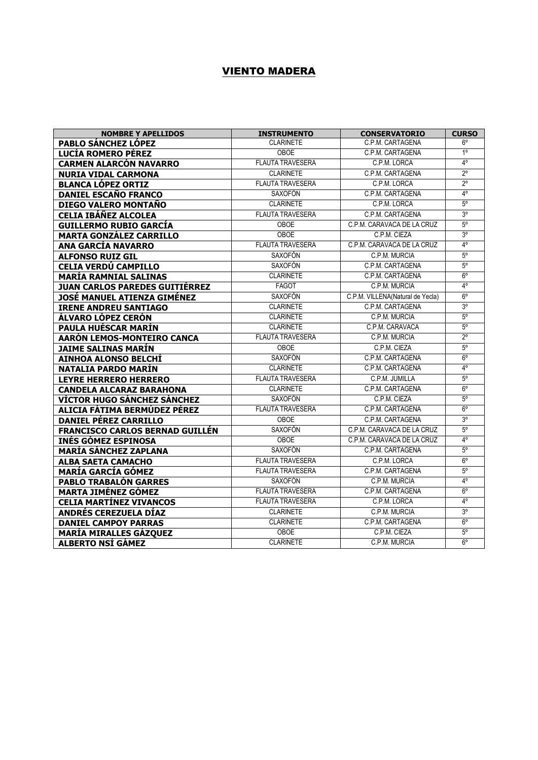### VIENTO MADERA

| <b>NOMBRE Y APELLIDOS</b>              | <b>INSTRUMENTO</b>      | <b>CONSERVATORIO</b>             | <b>CURSO</b>   |
|----------------------------------------|-------------------------|----------------------------------|----------------|
| <b>PABLO SÁNCHEZ LÓPEZ</b>             | <b>CLARINETE</b>        | C.P.M. CARTAGENA                 | $6^{\circ}$    |
| LUCÍA ROMERO PÉREZ                     | <b>OBOE</b>             | C.P.M. CARTAGENA                 | $1^{\circ}$    |
| <b>CARMEN ALARCÓN NAVARRO</b>          | <b>FLAUTA TRAVESERA</b> | C.P.M. LORCA                     | 4°             |
| <b>NURIA VIDAL CARMONA</b>             | <b>CLARINETE</b>        | C.P.M. CARTAGENA                 | $2^{\circ}$    |
| <b>BLANCA LÓPEZ ORTIZ</b>              | <b>FLAUTA TRAVESERA</b> | C.P.M. LORCA                     | $2^{\circ}$    |
| <b>DANIEL ESCAÑO FRANCO</b>            | <b>SAXOFÓN</b>          | C.P.M. CARTAGENA                 | $4^{\circ}$    |
| DIEGO VALERO MONTAÑO                   | <b>CLARINETE</b>        | C.P.M. LORCA                     | $5^{\circ}$    |
| <b>CELIA IBÁÑEZ ALCOLEA</b>            | <b>FLAUTA TRAVESERA</b> | C.P.M. CARTAGENA                 | 3°             |
| <b>GUILLERMO RUBIO GARCÍA</b>          | OBOE                    | C.P.M. CARAVACA DE LA CRUZ       | $5^{\circ}$    |
| <b>MARTA GONZÁLEZ CARRILLO</b>         | <b>OBOE</b>             | C.P.M. CIEZA                     | 3 <sup>o</sup> |
| <b>ANA GARCÍA NAVARRO</b>              | <b>FLAUTA TRAVESERA</b> | C.P.M. CARAVACA DE LA CRUZ       | $4^{\circ}$    |
| <b>ALFONSO RUIZ GIL</b>                | <b>SAXOFÓN</b>          | C.P.M. MURCIA                    | $5^{\circ}$    |
| <b>CELIA VERDÚ CAMPILLO</b>            | <b>SAXOFÓN</b>          | C.P.M. CARTAGENA                 | $5^{\circ}$    |
| <b>MARÍA RAMNIAL SALINAS</b>           | <b>CLARINETE</b>        | C.P.M. CARTAGENA                 | $6^{\circ}$    |
| <b>JUAN CARLOS PAREDES GUITIÉRREZ</b>  | <b>FAGOT</b>            | C.P.M. MURCIA                    | $4^{\circ}$    |
| JOSÉ MANUEL ATIENZA GIMÉNEZ            | <b>SAXOFÓN</b>          | C.P.M. VILLENA(Natural de Yecla) | $6^{\circ}$    |
| <b>IRENE ANDREU SANTIAGO</b>           | <b>CLARINETE</b>        | C.P.M. CARTAGENA                 | $3^{\circ}$    |
| ÁLVARO LÓPEZ CERÓN                     | <b>CLARINETE</b>        | C.P.M. MURCIA                    | $5^{\circ}$    |
| PAULA HUÉSCAR MARÍN                    | <b>CLARINETE</b>        | C.P.M. CARAVACA                  | $5^{\circ}$    |
| AARÓN LEMOS-MONTEIRO CANCA             | <b>FLAUTA TRAVESERA</b> | C.P.M. MURCIA                    | $2^{\circ}$    |
| JAIME SALINAS MARÍN                    | <b>OBOE</b>             | C.P.M. CIEZA                     | $5^{\circ}$    |
| AINHOA ALONSO BELCHÍ                   | <b>SAXOFÓN</b>          | C.P.M. CARTAGENA                 | $6^{\circ}$    |
| <b>NATALIA PARDO MARÍN</b>             | <b>CLARINETE</b>        | C.P.M. CARTAGENA                 | $4^{\circ}$    |
| <b>LEYRE HERRERO HERRERO</b>           | <b>FLAUTA TRAVESERA</b> | C.P.M. JUMILLA                   | $5^{\circ}$    |
| <b>CANDELA ALCARAZ BARAHONA</b>        | <b>CLARINETE</b>        | C.P.M. CARTAGENA                 | $6^{\circ}$    |
| VÍCTOR HUGO SÁNCHEZ SÁNCHEZ            | <b>SAXOFÓN</b>          | C.P.M. CIEZA                     | $5^{\circ}$    |
| ALICIA FÁTIMA BERMÚDEZ PÉREZ           | <b>FLAUTA TRAVESERA</b> | C.P.M. CARTAGENA                 | $6^{\circ}$    |
| <b>DANIEL PÉREZ CARRILLO</b>           | <b>OBOE</b>             | C.P.M. CARTAGENA                 | 3 <sup>o</sup> |
| <b>FRANCISCO CARLOS BERNAD GUILLÉN</b> | SAXOFÓN                 | C.P.M. CARAVACA DE LA CRUZ       | 5 <sup>o</sup> |
| <b>INÉS GÓMEZ ESPINOSA</b>             | <b>OBOE</b>             | C.P.M. CARAVACA DE LA CRUZ       | $4^{\circ}$    |
| <b>MARÍA SÁNCHEZ ZAPLANA</b>           | <b>SAXOFÓN</b>          | C.P.M. CARTAGENA                 | $5^{\circ}$    |
| <b>ALBA SAETA CAMACHO</b>              | <b>FLAUTA TRAVESERA</b> | C.P.M. LORCA                     | $6^{\circ}$    |
| <b>MARÍA GARCÍA GÓMEZ</b>              | <b>FLAUTA TRAVESERA</b> | C.P.M. CARTAGENA                 | $5^{\circ}$    |
| PABLO TRABALÓN GARRES                  | <b>SAXOFÓN</b>          | C.P.M. MURCIA                    | $4^{\circ}$    |
| <b>MARTA JIMÉNEZ GÓMEZ</b>             | <b>FLAUTA TRAVESERA</b> | C.P.M. CARTAGENA                 | $6^{\circ}$    |
| <b>CELIA MARTÍNEZ VIVANCOS</b>         | <b>FLAUTA TRAVESERA</b> | C.P.M. LORCA                     | $4^{\circ}$    |
| <b>ANDRÉS CEREZUELA DÍAZ</b>           | <b>CLARINETE</b>        | C.P.M. MURCIA                    | 3 <sup>o</sup> |
| <b>DANIEL CAMPOY PARRAS</b>            | <b>CLARINETE</b>        | C.P.M. CARTAGENA                 | $6^{\circ}$    |
| <b>MARÍA MIRALLES GÁZQUEZ</b>          | <b>OBOE</b>             | C.P.M. CIEZA                     | $5^{\circ}$    |
| <b>ALBERTO NSÍ GÁMEZ</b>               | <b>CLARINETE</b>        | C.P.M. MURCIA                    | $6^{\circ}$    |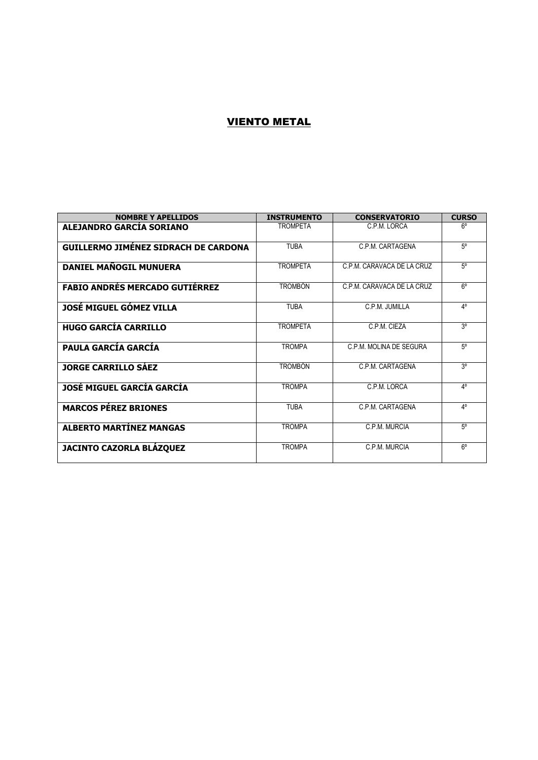### VIENTO METAL

| <b>NOMBRE Y APELLIDOS</b>                   | <b>INSTRUMENTO</b> | <b>CONSERVATORIO</b>       | <b>CURSO</b> |
|---------------------------------------------|--------------------|----------------------------|--------------|
| ALEJANDRO GARCÍA SORIANO                    | <b>TROMPFTA</b>    | C.P.M. LORCA               | 6°           |
| <b>GUILLERMO JIMÉNEZ SIDRACH DE CARDONA</b> | <b>TURA</b>        | C.P.M. CARTAGENA           | $5^\circ$    |
| DANIEL MAÑOGIL MUNUERA                      | <b>TROMPETA</b>    | C.P.M. CARAVACA DE LA CRUZ | $5^\circ$    |
| <b>FABIO ANDRÉS MERCADO GUTIÉRREZ</b>       | <b>TROMBÓN</b>     | C.P.M. CARAVACA DE LA CRUZ | $6^{\circ}$  |
| JOSÉ MIGUEL GÓMEZ VILLA                     | <b>TURA</b>        | C.P.M. JUMILLA             | 4°           |
| <b>HUGO GARCÍA CARRILLO</b>                 | <b>TROMPETA</b>    | C.P.M. CIEZA               | 30           |
| <b>PAULA GARCÍA GARCÍA</b>                  | <b>TROMPA</b>      | C.P.M. MOLINA DE SEGURA    | $5^{\circ}$  |
| <b>JORGE CARRILLO SÁEZ</b>                  | <b>TROMBÓN</b>     | C.P.M. CARTAGENA           | 30           |
| JOSÉ MIGUEL GARCÍA GARCÍA                   | <b>TROMPA</b>      | C P M LORCA                | 40           |
| <b>MARCOS PÉREZ BRIONES</b>                 | <b>TURA</b>        | C.P.M. CARTAGENA           | 40           |
| <b>ALBERTO MARTÍNEZ MANGAS</b>              | <b>TROMPA</b>      | C.P.M. MURCIA              | $5^\circ$    |
| <b>JACINTO CAZORLA BLÁZQUEZ</b>             | <b>TROMPA</b>      | C.P.M. MURCIA              | $6^{\circ}$  |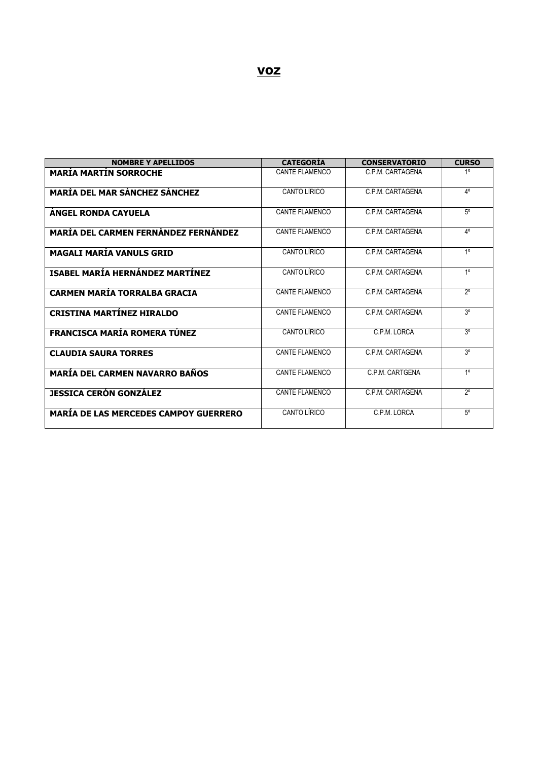| <b>NOMBRE Y APELLIDOS</b>                    | <b>CATEGORÍA</b>      | <b>CONSERVATORIO</b> | <b>CURSO</b>   |
|----------------------------------------------|-----------------------|----------------------|----------------|
| <b>MARÍA MARTÍN SORROCHE</b>                 | <b>CANTE FLAMENCO</b> | C.P.M. CARTAGENA     | 1 <sup>°</sup> |
| <b>MARÍA DEL MAR SÁNCHEZ SÁNCHEZ</b>         | CANTO LÍRICO          | C.P.M. CARTAGENA     | $4^{\circ}$    |
| <b>ANGEL RONDA CAYUELA</b>                   | <b>CANTE FLAMENCO</b> | C.P.M. CARTAGENA     | $5^\circ$      |
| <b>MARÍA DEL CARMEN FERNÁNDEZ FERNÁNDEZ</b>  | <b>CANTE FLAMENCO</b> | C.P.M. CARTAGENA     | $4^{\circ}$    |
| <b>MAGALI MARÍA VANULS GRID</b>              | CANTO LÍRICO          | C.P.M. CARTAGENA     | 1 <sup>0</sup> |
| ISABEL MARÍA HERNÁNDEZ MARTÍNEZ              | CANTO LÍRICO          | C.P.M. CARTAGENA     | 1 <sup>0</sup> |
| <b>CARMEN MARÍA TORRALBA GRACIA</b>          | <b>CANTE FLAMENCO</b> | C.P.M. CARTAGENA     | $2^{\circ}$    |
| <b>CRISTINA MARTÍNEZ HIRALDO</b>             | <b>CANTE FLAMENCO</b> | C.P.M. CARTAGENA     | 3 <sup>o</sup> |
| <b>FRANCISCA MARÍA ROMERA TÚNEZ</b>          | CANTO LÍRICO          | C.P.M. LORCA         | 3 <sup>o</sup> |
| <b>CLAUDIA SAURA TORRES</b>                  | <b>CANTE FLAMENCO</b> | C.P.M. CARTAGENA     | 3 <sup>o</sup> |
| <b>MARÍA DEL CARMEN NAVARRO BAÑOS</b>        | <b>CANTE FLAMENCO</b> | C.P.M. CARTGENA      | 1 <sup>0</sup> |
| <b>JESSICA CERÓN GONZÁLEZ</b>                | <b>CANTE FLAMENCO</b> | C.P.M. CARTAGENA     | $2^{\circ}$    |
| <b>MARIA DE LAS MERCEDES CAMPOY GUERRERO</b> | CANTO LÍRICO          | C.P.M. LORCA         | $5^\circ$      |